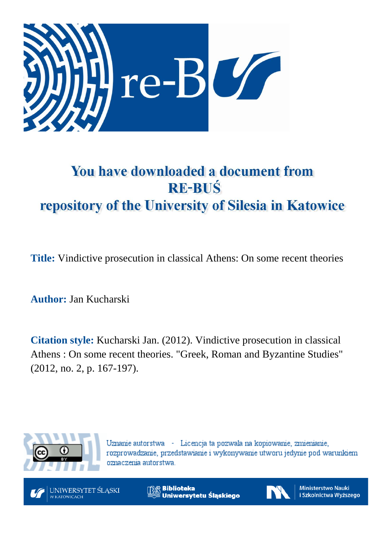

# You have downloaded a document from **RE-BUŚ** repository of the University of Silesia in Katowice

**Title:** Vindictive prosecution in classical Athens: On some recent theories

**Author:** Jan Kucharski

**Citation style:** Kucharski Jan. (2012). Vindictive prosecution in classical Athens : On some recent theories. "Greek, Roman and Byzantine Studies" (2012, no. 2, p. 167-197).



Uznanie autorstwa - Licencja ta pozwala na kopiowanie, zmienianie, rozprowadzanie, przedstawianie i wykonywanie utworu jedynie pod warunkiem oznaczenia autorstwa.



**Biblioteka** Uniwersytetu Śląskiego



**Ministerstwo Nauki** i Szkolnictwa Wyższego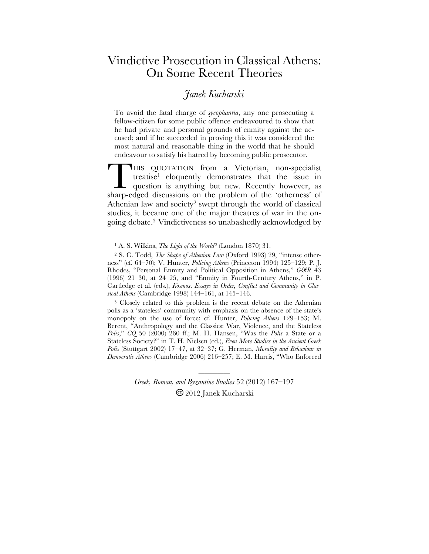## Vindictive Prosecution in Classical Athens: On Some Recent Theories

### *Janek Kucharski*

To avoid the fatal charge of *sycophantia*, any one prosecuting a fellow-citizen for some public offence endeavoured to show that he had private and personal grounds of enmity against the accused; and if he succeeded in proving this it was considered the most natural and reasonable thing in the world that he should endeavour to satisfy his hatred by becoming public prosecutor.

HIS QUOTATION from a Victorian, non-specialist treatise1 eloquently demonstrates that the issue in question is anything but new. Recently however, as THIS QUOTATION from a Victorian, non-specialist treatise<sup>1</sup> eloquently demonstrates that the issue in question is anything but new. Recently however, as sharp-edged discussions on the problem of the 'otherness' of Athenian law and society2 swept through the world of classical studies, it became one of the major theatres of war in the ongoing debate.3 Vindictiveness so unabashedly acknowledged by

<sup>1</sup> A. S. Wilkins, *The Light of the World*<sup>2</sup> (London 1870) 31.

2 S. C. Todd, *The Shape of Athenian Law* (Oxford 1993) 29, "intense otherness" (cf. 64–70); V. Hunter, *Policing Athens* (Princeton 1994) 125–129; P. J. Rhodes, "Personal Enmity and Political Opposition in Athens," *G&R* 43 (1996) 21–30, at 24–25, and "Enmity in Fourth-Century Athens," in P. Cartledge et al. (eds.), *Kosmos*. *Essays in Order, Conflict and Community in Classical Athens* (Cambridge 1998) 144–161, at 145–146.

<sup>3</sup> Closely related to this problem is the recent debate on the Athenian polis as a 'stateless' community with emphasis on the absence of the state's monopoly on the use of force; cf. Hunter, *Policing Athens* 129–153; M. Berent, "Anthropology and the Classics: War, Violence, and the Stateless *Polis*," *CQ* 50 (2000) 260 ff.; M. H. Hansen, "Was the *Polis* a State or a Stateless Society?" in T. H. Nielsen (ed.), *Even More Studies in the Ancient Greek Polis* (Stuttgart 2002) 17–47, at 32–37; G. Herman, *Morality and Behaviour in Democratic Athens* (Cambridge 2006) 216–257; E. M. Harris, "Who Enforced

> ————————————<br>———————————————————— *Greek, Roman, and Byzantine Studies* 52 (2012) 167–197 2012 Janek Kucharski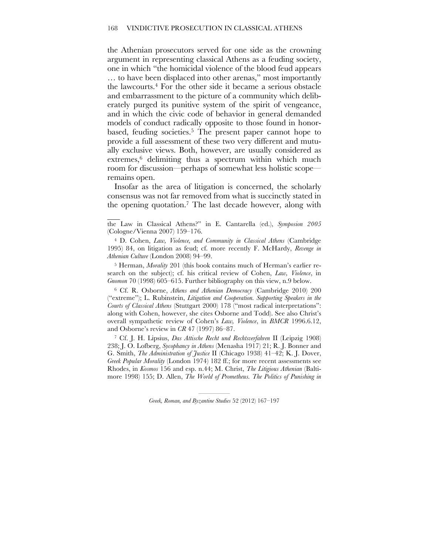the Athenian prosecutors served for one side as the crowning argument in representing classical Athens as a feuding society, one in which "the homicidal violence of the blood feud appears … to have been displaced into other arenas," most importantly the lawcourts.4 For the other side it became a serious obstacle and embarrassment to the picture of a community which deliberately purged its punitive system of the spirit of vengeance, and in which the civic code of behavior in general demanded models of conduct radically opposite to those found in honorbased, feuding societies.<sup>5</sup> The present paper cannot hope to provide a full assessment of these two very different and mutually exclusive views. Both, however, are usually considered as extremes,<sup>6</sup> delimiting thus a spectrum within which much room for discussion—perhaps of somewhat less holistic scope remains open.

Insofar as the area of litigation is concerned, the scholarly consensus was not far removed from what is succinctly stated in the opening quotation.7 The last decade however, along with

the Law in Classical Athens?" in E. Cantarella (ed.), *Symposion 2005*  (Cologne/Vienna 2007) 159–176.

 $\mathcal{L}_\mathcal{L}$ 

4 D. Cohen, *Law, Violence, and Community in Classical Athens* (Cambridge 1995) 84, on litigation as feud; cf. more recently F. McHardy, *Revenge in Athenian Culture* (London 2008) 94–99.

5 Herman, *Morality* 201 (this book contains much of Herman's earlier research on the subject); cf. his critical review of Cohen, *Law, Violence*, in *Gnomon* 70 (1998) 605–615. Further bibliography on this view, n.9 below.

6 Cf. R. Osborne, *Athens and Athenian Democracy* (Cambridge 2010) 200 ("extreme"); L. Rubinstein, *Litigation and Cooperation. Supporting Speakers in the Courts of Classical Athens* (Stuttgart 2000) 178 ("most radical interpretations": along with Cohen, however, she cites Osborne and Todd). See also Christ's overall sympathetic review of Cohen's *Law, Violence*, in *BMCR* 1996.6.12, and Osborne's review in *CR* 47 (1997) 86–87.

7 Cf. J. H. Lipsius, *Das Attische Recht und Rechtsverfahren* II (Leipzig 1908) 238; J. O. Lofberg, *Sycophancy in Athens* (Menasha 1917) 21; R. J. Bonner and G. Smith, *The Administration of Justice* II (Chicago 1938) 41–42; K. J. Dover, *Greek Popular Morality* (London 1974) 182 ff.; for more recent assessments see Rhodes, in *Kosmos* 156 and esp. n.44; M. Christ, *The Litigious Athenian* (Baltimore 1998) 155; D. Allen, *The World of Prometheus. The Politics of Punishing in*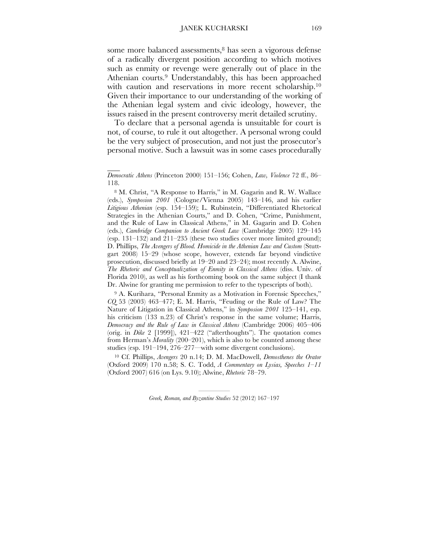some more balanced assessments,<sup>8</sup> has seen a vigorous defense of a radically divergent position according to which motives such as enmity or revenge were generally out of place in the Athenian courts.<sup>9</sup> Understandably, this has been approached with caution and reservations in more recent scholarship.<sup>10</sup> Given their importance to our understanding of the working of the Athenian legal system and civic ideology, however, the issues raised in the present controversy merit detailed scrutiny.

To declare that a personal agenda is unsuitable for court is not, of course, to rule it out altogether. A personal wrong could be the very subject of prosecution, and not just the prosecutor's personal motive. Such a lawsuit was in some cases procedurally

 $\overline{\phantom{a}}$ 

9 A. Kurihara, "Personal Enmity as a Motivation in Forensic Speeches," *CQ* 53 (2003) 463–477; E. M. Harris, "Feuding or the Rule of Law? The Nature of Litigation in Classical Athens," in *Symposion 2001* 125–141, esp. his criticism (133 n.23) of Christ's response in the same volume; Harris, *Democracy and the Rule of Law in Classical Athens* (Cambridge 2006) 405–406 (orig. in *Dike* 2 [1999]), 421–422 ("afterthoughts"). The quotation comes from Herman's *Morality* (200–201), which is also to be counted among these studies (esp. 191–194, 276–277—with some divergent conclusions).

10 Cf. Phillips, *Avengers* 20 n.14; D. M. MacDowell, *Demosthenes the Orator* (Oxford 2009) 170 n.58; S. C. Todd, *A Commentary on Lysias, Speeches 1–11* (Oxford 2007) 616 (on Lys. 9.10); Alwine, *Rhetoric* 78–79.

*Democratic Athens* (Princeton 2000) 151–156; Cohen, *Law, Violence* 72 ff., 86– 118.

<sup>8</sup> M. Christ, "A Response to Harris," in M. Gagarin and R. W. Wallace (eds.), *Symposion 2001* (Cologne/Vienna 2005) 143–146, and his earlier *Litigious Athenian* (esp. 154–159); L. Rubinstein, "Differentiated Rhetorical Strategies in the Athenian Courts," and D. Cohen, "Crime, Punishment, and the Rule of Law in Classical Athens," in M. Gagarin and D. Cohen (eds.), *Cambridge Companion to Ancient Greek Law* (Cambridge 2005) 129–145 (esp. 131–132) and 211–235 (these two studies cover more limited ground); D. Phillips, *The Avengers of Blood. Homicide in the Athenian Law and Custom* (Stuttgart 2008) 15–29 (whose scope, however, extends far beyond vindictive prosecution, discussed briefly at 19–20 and 23–24); most recently A. Alwine, *The Rhetoric and Conceptualization of Enmity in Classical Athens* (diss. Univ. of Florida 2010), as well as his forthcoming book on the same subject (I thank Dr. Alwine for granting me permission to refer to the typescripts of both).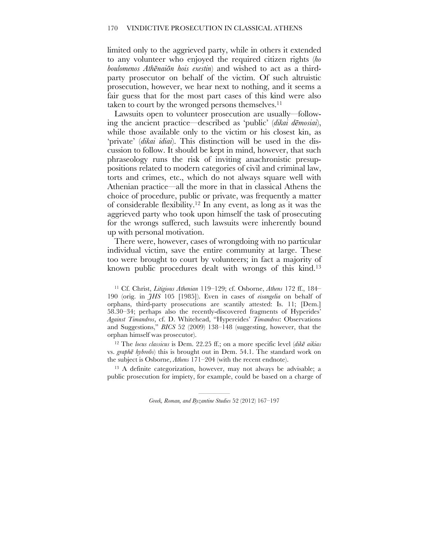limited only to the aggrieved party, while in others it extended to any volunteer who enjoyed the required citizen rights (*ho boulomenos Athēnaiōn hois exestin*) and wished to act as a thirdparty prosecutor on behalf of the victim. Of such altruistic prosecution, however, we hear next to nothing, and it seems a fair guess that for the most part cases of this kind were also taken to court by the wronged persons themselves.11

Lawsuits open to volunteer prosecution are usually—following the ancient practice—described as 'public' (*dikai dēmosiai*), while those available only to the victim or his closest kin, as 'private' (*dikai idiai*). This distinction will be used in the discussion to follow. It should be kept in mind, however, that such phraseology runs the risk of inviting anachronistic presuppositions related to modern categories of civil and criminal law, torts and crimes, etc., which do not always square well with Athenian practice—all the more in that in classical Athens the choice of procedure, public or private, was frequently a matter of considerable flexibility.12 In any event, as long as it was the aggrieved party who took upon himself the task of prosecuting for the wrongs suffered, such lawsuits were inherently bound up with personal motivation.

There were, however, cases of wrongdoing with no particular individual victim, save the entire community at large. These too were brought to court by volunteers; in fact a majority of known public procedures dealt with wrongs of this kind.13

11 Cf. Christ, *Litigious Athenian* 119–129; cf. Osborne, *Athens* 172 ff., 184– 190 (orig. in *JHS* 105 [1985]). Even in cases of *eisangelia* on behalf of orphans, third-party prosecutions are scantily attested: Is. 11; [Dem.] 58.30–34; perhaps also the recently-discovered fragments of Hyperides' *Against Timandros*, cf. D. Whitehead, "Hypereides' *Timandros*: Observations and Suggestions," *BICS* 52 (2009) 138–148 (suggesting, however, that the orphan himself was prosecutor).

12 The *locus classicus* is Dem. 22.25 ff.; on a more specific level (*dikē aikias* vs. *graphē hybreōs*) this is brought out in Dem. 54.1. The standard work on the subject is Osborne, *Athens* 171–204 (with the recent endnote).

13 A definite categorization, however, may not always be advisable; a public prosecution for impiety, for example, could be based on a charge of

<sup>————————————&</sup>lt;br>———————————————————— *Greek, Roman, and Byzantine Studies* 52 (2012) 167–197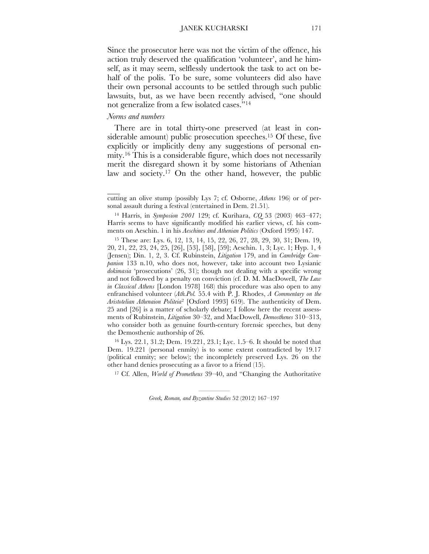Since the prosecutor here was not the victim of the offence, his action truly deserved the qualification 'volunteer', and he himself, as it may seem, selflessly undertook the task to act on behalf of the polis. To be sure, some volunteers did also have their own personal accounts to be settled through such public lawsuits, but, as we have been recently advised, "one should not generalize from a few isolated cases."14

#### *Norms and numbers*

 $\overline{\phantom{a}}$ 

There are in total thirty-one preserved (at least in considerable amount) public prosecution speeches.<sup>15</sup> Of these, five explicitly or implicitly deny any suggestions of personal enmity.16 This is a considerable figure, which does not necessarily merit the disregard shown it by some historians of Athenian law and society.17 On the other hand, however, the public

16 Lys. 22.1, 31.2; Dem. 19.221, 23.1; Lyc. 1.5–6. It should be noted that Dem. 19.221 (personal enmity) is to some extent contradicted by 19.17 (political enmity; see below); the incompletely preserved Lys. 26 on the other hand denies prosecuting as a favor to a friend (15).

17 Cf. Allen, *World of Prometheus* 39–40, and "Changing the Authoritative

cutting an olive stump (possibly Lys 7; cf. Osborne, *Athens* 196) or of personal assault during a festival (entertained in Dem. 21.51).

<sup>14</sup> Harris, in *Symposion 2001* 129; cf. Kurihara, *CQ* 53 (2003) 463–477; Harris seems to have significantly modified his earlier views, cf. his comments on Aeschin. 1 in his *Aeschines and Athenian Politics* (Oxford 1995) 147.

<sup>15</sup> These are: Lys. 6, 12, 13, 14, 15, 22, 26, 27, 28, 29, 30, 31; Dem. 19, 20, 21, 22, 23, 24, 25, [26], [53], [58], [59]; Aeschin. 1, 3; Lyc. 1; Hyp. 1, 4 (Jensen); Din. 1, 2, 3. Cf. Rubinstein, *Litigation* 179, and in *Cambridge Companion* 133 n.10, who does not, however, take into account two Lysianic *dokimasia* 'prosecutions' (26, 31); though not dealing with a specific wrong and not followed by a penalty on conviction (cf. D. M. MacDowell, *The Law in Classical Athens* [London 1978] 168) this procedure was also open to any enfranchised volunteer (*Ath.Pol.* 55.4 with P. J. Rhodes, *A Commentary on the Aristotelian Athenaion Politeia*2 [Oxford 1993] 619). The authenticity of Dem. 25 and [26] is a matter of scholarly debate; I follow here the recent assessments of Rubinstein, *Litigation* 30–32, and MacDowell, *Demosthenes* 310–313, who consider both as genuine fourth-century forensic speeches, but deny the Demosthenic authorship of 26.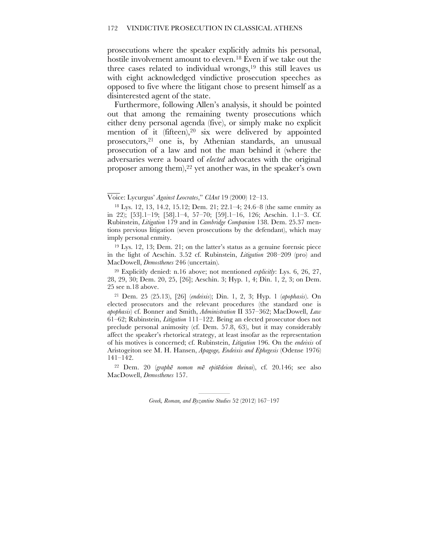prosecutions where the speaker explicitly admits his personal, hostile involvement amount to eleven. 18 Even if we take out the three cases related to individual wrongs, $19$  this still leaves us with eight acknowledged vindictive prosecution speeches as opposed to five where the litigant chose to present himself as a disinterested agent of the state.

Furthermore, following Allen's analysis, it should be pointed out that among the remaining twenty prosecutions which either deny personal agenda (five), or simply make no explicit mention of it (fifteen),  $20$  six were delivered by appointed prosecutors,21 one is, by Athenian standards, an unusual prosecution of a law and not the man behind it (where the adversaries were a board of *elected* advocates with the original proposer among them), $^{22}$  yet another was, in the speaker's own

 $\overline{\phantom{a}}$ 

Voice: Lycurgus' *Against Leocrates*," *ClAnt* 19 (2000) 12–13.

<sup>18</sup> Lys. 12, 13, 14.2, 15.12; Dem. 21; 22.1–4; 24.6–8 (the same enmity as in 22); [53].1–19; [58].1–4, 57–70; [59].1–16, 126; Aeschin. 1.1–3. Cf. Rubinstein, *Litigation* 179 and in *Cambridge Companion* 138. Dem. 25.37 mentions previous litigation (seven prosecutions by the defendant), which may imply personal enmity.

<sup>19</sup> Lys. 12, 13; Dem. 21; on the latter's status as a genuine forensic piece in the light of Aeschin. 3.52 cf. Rubinstein, *Litigation* 208–209 (pro) and MacDowell, *Demosthenes* 246 (uncertain).

<sup>20</sup> Explicitly denied: n.16 above; not mentioned *explicitly*: Lys. 6, 26, 27, 28, 29, 30; Dem. 20, 25, [26]; Aeschin. 3; Hyp. 1, 4; Din. 1, 2, 3; on Dem. 25 see n.18 above.

<sup>21</sup> Dem. 25 (25.13), [26] (*endeixis*); Din. 1, 2, 3; Hyp. 1 (*apophasis*). On elected prosecutors and the relevant procedures (the standard one is *apophasis*) cf. Bonner and Smith, *Administration* II 357–362; MacDowell, *Law* 61–62; Rubinstein, *Litigation* 111–122. Being an elected prosecutor does not preclude personal animosity (cf. Dem. 57.8, 63), but it may considerably affect the speaker's rhetorical strategy, at least insofar as the representation of his motives is concerned; cf. Rubinstein, *Litigation* 196. On the *endeixis* of Aristogeiton see M. H. Hansen, *Apagoge, Endeixis and Ephegesis* (Odense 1976) 141–142.

<sup>22</sup> Dem. 20 (*graphē nomon mē epitēdeion theinai*), cf. 20.146; see also MacDowell, *Demosthenes* 157.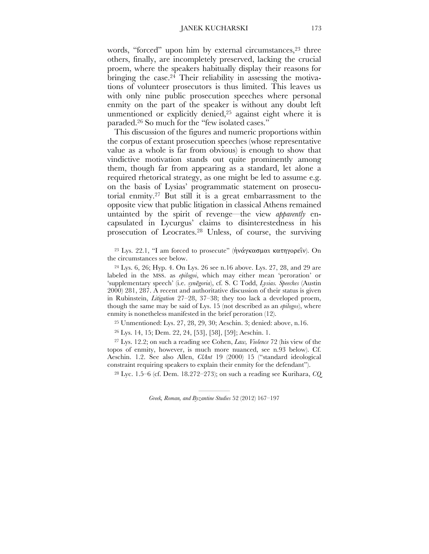words, "forced" upon him by external circumstances,<sup>23</sup> three others, finally, are incompletely preserved, lacking the crucial proem, where the speakers habitually display their reasons for bringing the case.<sup>24</sup> Their reliability in assessing the motivations of volunteer prosecutors is thus limited. This leaves us with only nine public prosecution speeches where personal enmity on the part of the speaker is without any doubt left unmentioned or explicitly denied,<sup>25</sup> against eight where it is paraded.26 So much for the "few isolated cases."

This discussion of the figures and numeric proportions within the corpus of extant prosecution speeches (whose representative value as a whole is far from obvious) is enough to show that vindictive motivation stands out quite prominently among them, though far from appearing as a standard, let alone a required rhetorical strategy, as one might be led to assume e.g. on the basis of Lysias' programmatic statement on prosecutorial enmity.27 But still it is a great embarrassment to the opposite view that public litigation in classical Athens remained untainted by the spirit of revenge—the view *apparently* encapsulated in Lycurgus' claims to disinterestedness in his prosecution of Leocrates.28 Unless, of course, the surviving

<sup>23</sup> Lys. 22.1, "I am forced to prosecute" (ήνάγκασμαι κατηγορεΐν). On the circumstances see below.

 $^{24}$  Lys. 6, 26; Hyp. 4. On Lys. 26 see n.16 above. Lys. 27, 28, and 29 are labeled in the MSS. as *epilogoi*, which may either mean 'peroration' or 'supplementary speech' (i.e. *synēgoria*), cf. S. C Todd, *Lysias. Speeches* (Austin 2000) 281, 287. A recent and authoritative discussion of their status is given in Rubinstein, *Litigation* 27–28, 37–38; they too lack a developed proem, though the same may be said of Lys. 15 (not described as an *epilogos*), where enmity is nonetheless manifested in the brief peroration (12).

25 Unmentioned: Lys. 27, 28, 29, 30; Aeschin. 3; denied: above, n.16.

26 Lys. 14, 15; Dem. 22, 24, [53], [58], [59]; Aeschin. 1.

27 Lys. 12.2; on such a reading see Cohen, *Law, Violence* 72 (his view of the topos of enmity, however, is much more nuanced, see n.93 below). Cf. Aeschin. 1.2. See also Allen, *ClAnt* 19 (2000) 15 ("standard ideological constraint requiring speakers to explain their enmity for the defendant").

28 Lyc. 1.5–6 (cf. Dem. 18.272–273); on such a reading see Kurihara, *CQ*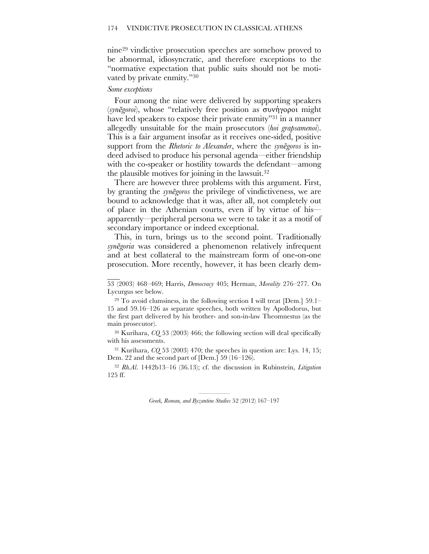nine29 vindictive prosecution speeches are somehow proved to be abnormal, idiosyncratic, and therefore exceptions to the "normative expectation that public suits should not be motivated by private enmity."30

#### *Some exceptions*

 $\overline{\phantom{a}}$ 

Four among the nine were delivered by supporting speakers (*synēgoroi*), whose "relatively free position as συνήγοροι might have led speakers to expose their private enmity<sup>"31</sup> in a manner allegedly unsuitable for the main prosecutors (*hoi grapsamenoi*). This is a fair argument insofar as it receives one-sided, positive support from the *Rhetoric to Alexander*, where the *synēgoros* is indeed advised to produce his personal agenda—either friendship with the co-speaker or hostility towards the defendant—among the plausible motives for joining in the lawsuit.32

There are however three problems with this argument. First, by granting the *synēgoros* the privilege of vindictiveness, we are bound to acknowledge that it was, after all, not completely out of place in the Athenian courts, even if by virtue of his apparently—peripheral persona we were to take it as a motif of secondary importance or indeed exceptional.

This, in turn, brings us to the second point. Traditionally *synēgoria* was considered a phenomenon relatively infrequent and at best collateral to the mainstream form of one-on-one prosecution. More recently, however, it has been clearly dem-

53 (2003) 468–469; Harris, *Democracy* 405; Herman, *Morality* 276–277. On Lycurgus see below.

 $29$  To avoid clumsiness, in the following section I will treat [Dem.] 59.1– 15 and 59.16–126 as separate speeches, both written by Apollodorus, but the first part delivered by his brother- and son-in-law Theomnestus (as the main prosecutor).

30 Kurihara, *CQ* 53 (2003) 466; the following section will deal specifically with his assessments.

31 Kurihara, *CQ* 53 (2003) 470; the speeches in question are: Lys. 14, 15; Dem. 22 and the second part of [Dem.] 59 (16–126).

<sup>32</sup> *Rh.Al*. 1442b13–16 (36.13); cf. the discussion in Rubinstein, *Litigation* 125 ff.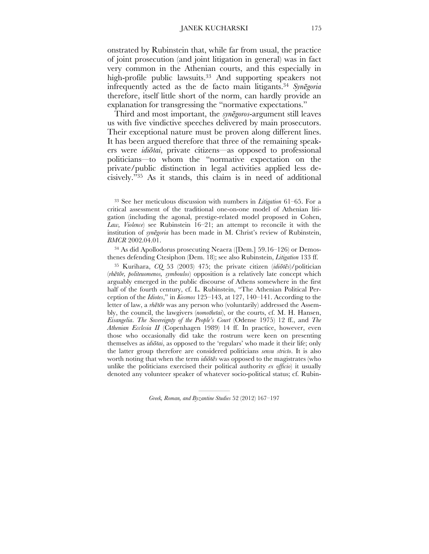onstrated by Rubinstein that, while far from usual, the practice of joint prosecution (and joint litigation in general) was in fact very common in the Athenian courts, and this especially in high-profile public lawsuits.<sup>33</sup> And supporting speakers not infrequently acted as the de facto main litigants.34 *Synēgoria* therefore, itself little short of the norm, can hardly provide an explanation for transgressing the "normative expectations."

Third and most important, the *synēgoros*-argument still leaves us with five vindictive speeches delivered by main prosecutors. Their exceptional nature must be proven along different lines. It has been argued therefore that three of the remaining speakers were *idiōtai*, private citizens—as opposed to professional politicians—to whom the "normative expectation on the private/public distinction in legal activities applied less decisively."35 As it stands, this claim is in need of additional

34 As did Apollodorus prosecuting Neaera ([Dem.] 59.16–126) or Demosthenes defending Ctesiphon (Dem. 18); see also Rubinstein, *Litigation* 133 ff.

35 Kurihara, *CQ* 53 (2003) 475; the private citizen (*idiōtēs*)/politician (*rhētōr, politeuomenos, symboulos*) opposition is a relatively late concept which arguably emerged in the public discourse of Athens somewhere in the first half of the fourth century, cf. L. Rubinstein, "The Athenian Political Perception of the *Idiotes*," in *Kosmos* 125–143, at 127, 140–141. According to the letter of law, a *rhētōr* was any person who (voluntarily) addressed the Assembly, the council, the lawgivers (*nomothetai*), or the courts, cf. M. H. Hansen, *Eisangelia*. *The Sovereignty of the People's Court* (Odense 1975) 12 ff., and *The Athenian Ecclesia II* (Copenhagen 1989) 14 ff. In practice, however, even those who occasionally did take the rostrum were keen on presenting themselves as *idiōtai*, as opposed to the 'regulars' who made it their life; only the latter group therefore are considered politicians *sensu stricto*. It is also worth noting that when the term *idiōtēs* was opposed to the magistrates (who unlike the politicians exercised their political authority *ex officio*) it usually denoted any volunteer speaker of whatever socio-political status; cf. Rubin-

<sup>33</sup> See her meticulous discussion with numbers in *Litigation* 61–65. For a critical assessment of the traditional one-on-one model of Athenian litigation (including the agonal, prestige-related model proposed in Cohen, *Law, Violence*) see Rubinstein 16–21; an attempt to reconcile it with the institution of *synēgoria* has been made in M. Christ's review of Rubinstein, *BMCR* 2002.04.01.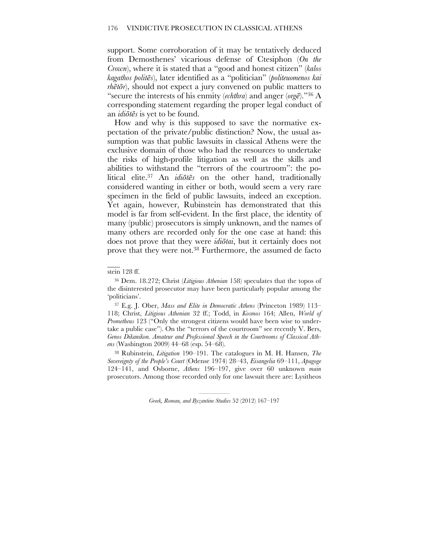support. Some corroboration of it may be tentatively deduced from Demosthenes' vicarious defense of Ctesiphon (*On the Crown*), where it is stated that a "good and honest citizen" (*kalos kagathos politēs*), later identified as a "politician" (*politeuomenos kai rhētōr*), should not expect a jury convened on public matters to "secure the interests of his enmity (*echthra*) and anger (*orgē*)."36 A corresponding statement regarding the proper legal conduct of an *idiōtēs* is yet to be found.

How and why is this supposed to save the normative expectation of the private/public distinction? Now, the usual assumption was that public lawsuits in classical Athens were the exclusive domain of those who had the resources to undertake the risks of high-profile litigation as well as the skills and abilities to withstand the "terrors of the courtroom": the political elite.37 An *idiōtēs* on the other hand, traditionally considered wanting in either or both, would seem a very rare specimen in the field of public lawsuits, indeed an exception. Yet again, however, Rubinstein has demonstrated that this model is far from self-evident. In the first place, the identity of many (public) prosecutors is simply unknown, and the names of many others are recorded only for the one case at hand: this does not prove that they were *idiōtai*, but it certainly does not prove that they were not.38 Furthermore, the assumed de facto

stein 128 ff.

 $\overline{\phantom{a}}$ 

36 Dem. 18.272; Christ (*Litigious Athenian* 158) speculates that the topos of the disinterested prosecutor may have been particularly popular among the 'politicians'.

37 E.g. J. Ober, *Mass and Elite in Democratic Athens* (Princeton 1989) 113– 118; Christ, *Litigious Athenian* 32 ff.; Todd, in *Kosmos* 164; Allen, *World of Prometheus* 123 ("Only the strongest citizens would have been wise to undertake a public case"). On the "terrors of the courtroom" see recently V. Bers, *Genos Dikanikon. Amateur and Professional Speech in the Courtrooms of Classical Athens* (Washington 2009) 44–68 (esp. 54–68).

38 Rubinstein, *Litigation* 190–191. The catalogues in M. H. Hansen, *The Sovereignty of the People's Court* (Odense 1974) 28–43, *Eisangelia* 69–111, *Apagoge* 124–141, and Osborne, *Athens* 196–197, give over 60 unknown *main* prosecutors. Among those recorded only for one lawsuit there are: Lysitheos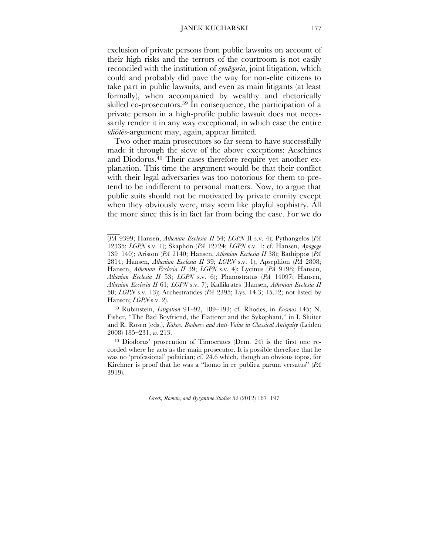#### JANEK KUCHARSKI 177

exclusion of private persons from public lawsuits on account of their high risks and the terrors of the courtroom is not easily reconciled with the institution of *synēgoria*, joint litigation, which could and probably did pave the way for non-elite citizens to take part in public lawsuits, and even as main litigants (at least formally), when accompanied by wealthy and rhetorically skilled co-prosecutors.39 In consequence, the participation of a private person in a high-profile public lawsuit does not necessarily render it in any way exceptional, in which case the entire *idiōtēs*-argument may, again, appear limited.

Two other main prosecutors so far seem to have successfully made it through the sieve of the above exceptions: Aeschines and Diodorus.<sup>40</sup> Their cases therefore require yet another explanation. This time the argument would be that their conflict with their legal adversaries was too notorious for them to pretend to be indifferent to personal matters. Now, to argue that public suits should not be motivated by private enmity except when they obviously were, may seem like playful sophistry. All the more since this is in fact far from being the case. For we do

 $\overline{\phantom{a}}$ 

39 Rubinstein, *Litigation* 91–92, 189–193; cf. Rhodes, in *Kosmos* 145; N. Fisher, "The Bad Boyfriend, the Flatterer and the Sykophant," in I. Sluiter and R. Rosen (eds.), *Kakos. Badness and Anti-Value in Classical Antiquity* (Leiden 2008) 185–231, at 213.

40 Diodorus' prosecution of Timocrates (Dem. 24) is the first one recorded where he acts as the main prosecutor. It is possible therefore that he was no 'professional' politician; cf. 24.6 which, though an obvious topos, for Kirchner is proof that he was a "homo in re publica parum versatus" (*PA* 3919).

<sup>(</sup>*PA* 9399; Hansen, *Athenian Ecclesia II* 54; *LGPN* II s.v. 4); Pythangelos (*PA* 12335; *LGPN* s.v. 1); Skaphon (*PA* 12724; *LGPN* s.v. 1; cf. Hansen, *Apagoge* 139–140); Ariston (*PA* 2140; Hansen, *Athenian Ecclesia II* 38); Bathippos (*PA* 2814; Hansen, *Athenian Ecclesia II* 39; *LGPN* s.v. 1); Apsephion (*PA* 2808; Hansen, *Athenian Ecclesia II* 39; *LGPN* s.v. 4); Lycinus (*PA* 9198; Hansen, *Athenian Ecclesia II* 53; *LGPN* s.v. 6); Phanostratus (*PA* 14097; Hansen, *Athenian Ecclesia II* 61; *LGPN* s.v. 7); Kallikrates (Hansen, *Athenian Ecclesia II* 50; *LGPN* s.v. 13); Archestratides (*PA* 2395; Lys. 14.3; 15.12; not listed by Hansen; *LGPN* s.v. 2).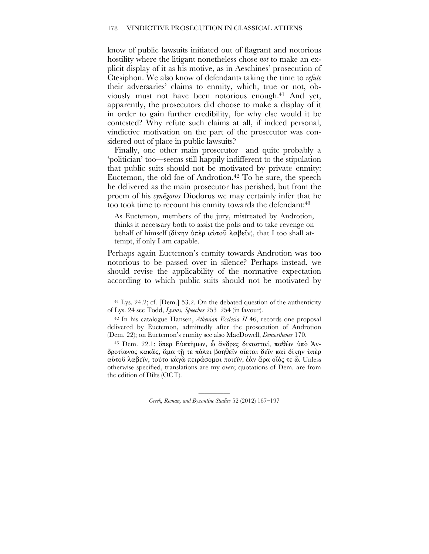know of public lawsuits initiated out of flagrant and notorious hostility where the litigant nonetheless chose *not* to make an explicit display of it as his motive, as in Aeschines' prosecution of Ctesiphon. We also know of defendants taking the time to *refute* their adversaries' claims to enmity, which, true or not, obviously must not have been notorious enough.41 And yet, apparently, the prosecutors did choose to make a display of it in order to gain further credibility, for why else would it be contested? Why refute such claims at all, if indeed personal, vindictive motivation on the part of the prosecutor was considered out of place in public lawsuits?

Finally, one other main prosecutor—and quite probably a 'politician' too—seems still happily indifferent to the stipulation that public suits should not be motivated by private enmity: Euctemon, the old foe of Androtion.<sup>42</sup> To be sure, the speech he delivered as the main prosecutor has perished, but from the proem of his *synēgoros* Diodorus we may certainly infer that he too took time to recount his enmity towards the defendant:<sup>43</sup>

As Euctemon, members of the jury, mistreated by Androtion, thinks it necessary both to assist the polis and to take revenge on behalf of himself (δίκην ὑπὲρ αὑτοῦ λαβεῖν), that I too shall attempt, if only I am capable.

Perhaps again Euctemon's enmity towards Androtion was too notorious to be passed over in silence? Perhaps instead, we should revise the applicability of the normative expectation according to which public suits should not be motivated by

41 Lys. 24.2; cf. [Dem.] 53.2. On the debated question of the authenticity of Lys. 24 see Todd, *Lysias, Speeches* 253–254 (in favour).

42 In his catalogue Hansen, *Athenian Ecclesia II* 46, records one proposal delivered by Euctemon, admittedly after the prosecution of Androtion (Dem. 22); on Euctemon's enmity see also MacDowell, *Demosthenes* 170.

<sup>43</sup> Dem. 22.1: ὅπερ Εὐκτήµων, ὦ ἄνδρες δικασταί, παθὼν ὑπὸ Ἀνδροτίωνος κακῶς, ἅµα τῇ τε πόλει βοηθεῖν οἴεται δεῖν καὶ δίκην ὑπὲρ αὑτοῦ λαβεῖν, τοῦτο κἀγὼ πειράσοµαι ποιεῖν, ἐὰν ἄρα οἷός τε ὦ. Unless otherwise specified, translations are my own; quotations of Dem. are from the edition of Dilts (OCT).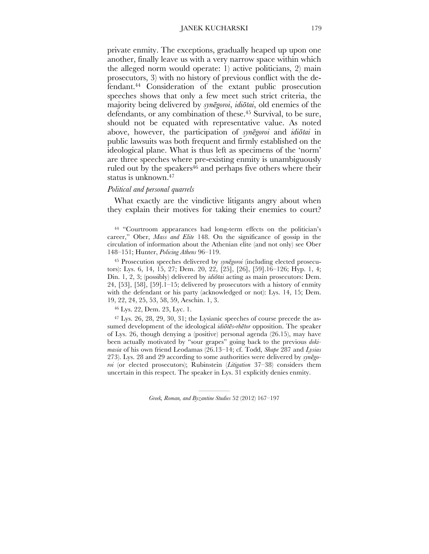private enmity. The exceptions, gradually heaped up upon one another, finally leave us with a very narrow space within which the alleged norm would operate: 1) active politicians, 2) main prosecutors, 3) with no history of previous conflict with the defendant.44 Consideration of the extant public prosecution speeches shows that only a few meet such strict criteria, the majority being delivered by *synēgoroi*, *idiōtai*, old enemies of the defendants, or any combination of these.<sup>45</sup> Survival, to be sure, should not be equated with representative value. As noted above, however, the participation of *synēgoroi* and *idiōtai* in public lawsuits was both frequent and firmly established on the ideological plane. What is thus left as specimens of the 'norm' are three speeches where pre-existing enmity is unambiguously ruled out by the speakers<sup>46</sup> and perhaps five others where their status is unknown.47

#### *Political and personal quarrels*

What exactly are the vindictive litigants angry about when they explain their motives for taking their enemies to court?

44 "Courtroom appearances had long-term effects on the politician's career," Ober, *Mass and Elite* 148. On the significance of gossip in the circulation of information about the Athenian elite (and not only) see Ober 148–151; Hunter, *Policing Athens* 96–119.

45 Prosecution speeches delivered by *synēgoroi* (including elected prosecutors): Lys. 6, 14, 15, 27; Dem. 20, 22, [25], [26], [59].16–126; Hyp. 1, 4; Din. 1, 2, 3; (possibly) delivered by *idiōtai* acting as main prosecutors: Dem.  $24, [53], [58], [59].1-15$ ; delivered by prosecutors with a history of enmity with the defendant or his party (acknowledged or not): Lys. 14, 15; Dem. 19, 22, 24, 25, 53, 58, 59, Aeschin. 1, 3.

46 Lys. 22, Dem. 23, Lyc. 1.

47 Lys. 26, 28, 29, 30, 31; the Lysianic speeches of course precede the assumed development of the ideological *idiōtēs*-*rhētor* opposition. The speaker of Lys. 26, though denying a (positive) personal agenda (26.15), may have been actually motivated by "sour grapes" going back to the previous *dokimasia* of his own friend Leodamas (26.13–14; cf. Todd, *Shape* 287 and *Lysias* 273). Lys. 28 and 29 according to some authorities were delivered by *synēgoroi* (or elected prosecutors); Rubinstein (*Litigation* 37–38) considers them uncertain in this respect. The speaker in Lys. 31 explicitly denies enmity.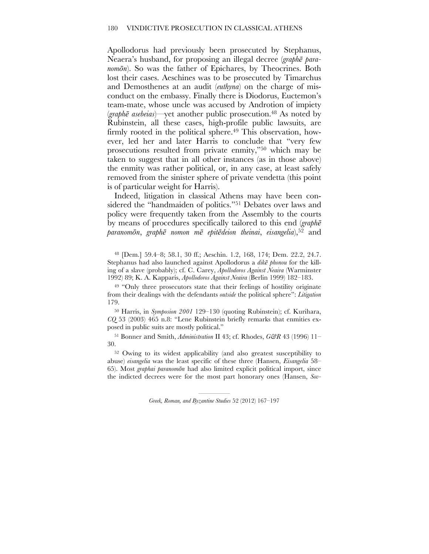Apollodorus had previously been prosecuted by Stephanus, Neaera's husband, for proposing an illegal decree (*graphē paranomōn*). So was the father of Epichares, by Theocrines. Both lost their cases. Aeschines was to be prosecuted by Timarchus and Demosthenes at an audit (*euthyna*) on the charge of misconduct on the embassy. Finally there is Diodorus, Euctemon's team-mate, whose uncle was accused by Androtion of impiety (*graphē asebeias*)—yet another public prosecution.48 As noted by Rubinstein, all these cases, high-profile public lawsuits, are firmly rooted in the political sphere.<sup>49</sup> This observation, however, led her and later Harris to conclude that "very few prosecutions resulted from private enmity,"50 which may be taken to suggest that in all other instances (as in those above) the enmity was rather political, or, in any case, at least safely removed from the sinister sphere of private vendetta (this point is of particular weight for Harris).

Indeed, litigation in classical Athens may have been considered the "handmaiden of politics."51 Debates over laws and policy were frequently taken from the Assembly to the courts by means of procedures specifically tailored to this end (*graphē paranomōn*, *graphē nomon mē epitēdeion theinai*, *eisangelia*),52 and

48 [Dem.] 59.4–8; 58.1, 30 ff.; Aeschin. 1.2, 168, 174; Dem. 22.2, 24.7. Stephanus had also launched against Apollodorus a *dikē phonou* for the killing of a slave (probably); cf. C. Carey, *Apollodoros Against Neaira* (Warminster 1992) 89; K. A. Kapparis, *Apollodoros Against Neaira* (Berlin 1999) 182–183.

<sup>49</sup> "Only three prosecutors state that their feelings of hostility originate from their dealings with the defendants *outside* the political sphere": *Litigation* 179.

50 Harris, in *Symposion 2001* 129–130 (quoting Rubinstein); cf. Kurihara, *CQ* 53 (2003) 465 n.8: "Lene Rubinstein briefly remarks that enmities exposed in public suits are mostly political."

51 Bonner and Smith, *Administration* II 43; cf. Rhodes, *G&R* 43 (1996) 11– 30.

<sup>52</sup> Owing to its widest applicability (and also greatest susceptibility to abuse) *eisangelia* was the least specific of these three (Hansen, *Eisangelia* 58– 65). Most *graphai paranomōn* had also limited explicit political import, since the indicted decrees were for the most part honorary ones (Hansen, *Sov-*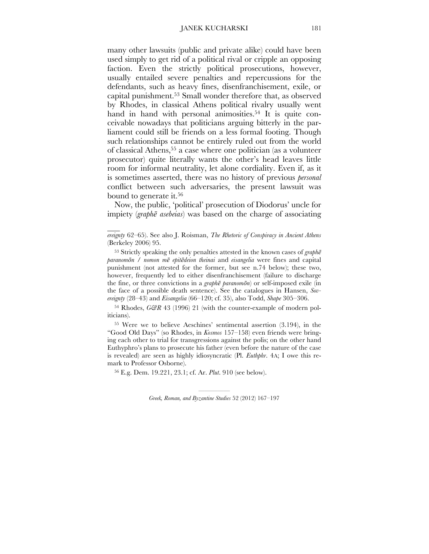many other lawsuits (public and private alike) could have been used simply to get rid of a political rival or cripple an opposing faction. Even the strictly political prosecutions, however, usually entailed severe penalties and repercussions for the defendants, such as heavy fines, disenfranchisement, exile, or capital punishment.53 Small wonder therefore that, as observed by Rhodes, in classical Athens political rivalry usually went hand in hand with personal animosities.<sup>54</sup> It is quite conceivable nowadays that politicians arguing bitterly in the parliament could still be friends on a less formal footing. Though such relationships cannot be entirely ruled out from the world of classical Athens,55 a case where one politician (as a volunteer prosecutor) quite literally wants the other's head leaves little room for informal neutrality, let alone cordiality. Even if, as it is sometimes asserted, there was no history of previous *personal* conflict between such adversaries, the present lawsuit was bound to generate it.<sup>56</sup>

Now, the public, 'political' prosecution of Diodorus' uncle for impiety (*graphē asebeias*) was based on the charge of associating

 $\mathcal{L}_\mathcal{L}$ 

54 Rhodes, *G&R* 43 (1996) 21 (with the counter-example of modern politicians).

55 Were we to believe Aeschines' sentimental assertion (3.194), in the "Good Old Days" (so Rhodes, in *Kosmos* 157–158) even friends were bringing each other to trial for transgressions against the polis; on the other hand Euthyphro's plans to prosecute his father (even before the nature of the case is revealed) are seen as highly idiosyncratic (Pl. *Euthphr*. 4A; I owe this remark to Professor Osborne).

56 E.g. Dem. 19.221, 23.1; cf. Ar. *Plut*. 910 (see below).

*ereignty* 62–65). See also J. Roisman, *The Rhetoric of Conspiracy in Ancient Athens* (Berkeley 2006) 95.

<sup>53</sup> Strictly speaking the only penalties attested in the known cases of *graphē paranomōn* / *nomon mē epitēdeion theinai* and *eisangelia* were fines and capital punishment (not attested for the former, but see n.74 below); these two, however, frequently led to either disenfranchisement (failure to discharge the fine, or three convictions in a *graphē paranomōn*) or self-imposed exile (in the face of a possible death sentence). See the catalogues in Hansen, *Sovereignty* (28–43) and *Eisangelia* (66–120; cf. 35), also Todd, *Shape* 305–306.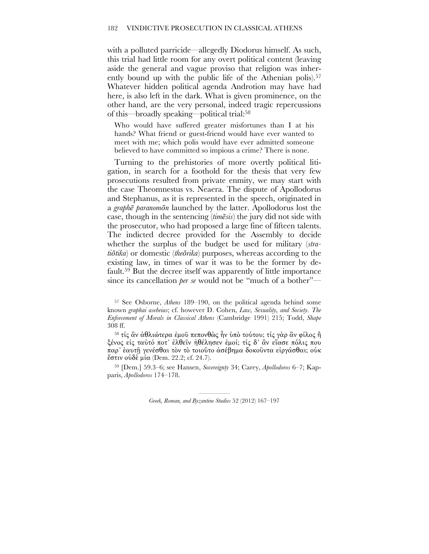with a polluted parricide—allegedly Diodorus himself. As such, this trial had little room for any overt political content (leaving aside the general and vague proviso that religion was inherently bound up with the public life of the Athenian polis).<sup>57</sup> Whatever hidden political agenda Androtion may have had here, is also left in the dark. What is given prominence, on the other hand, are the very personal, indeed tragic repercussions of this—broadly speaking—political trial:58

Who would have suffered greater misfortunes than I at his hands? What friend or guest-friend would have ever wanted to meet with me; which polis would have ever admitted someone believed to have committed so impious a crime? There is none.

Turning to the prehistories of more overtly political litigation, in search for a foothold for the thesis that very few prosecutions resulted from private enmity, we may start with the case Theomnestus vs. Neaera. The dispute of Apollodorus and Stephanus, as it is represented in the speech, originated in a *graphē paranomōn* launched by the latter. Apollodorus lost the case, though in the sentencing (*timēsis*) the jury did not side with the prosecutor, who had proposed a large fine of fifteen talents. The indicted decree provided for the Assembly to decide whether the surplus of the budget be used for military (*stratiōtika*) or domestic (*theōrika*) purposes, whereas according to the existing law, in times of war it was to be the former by default.59 But the decree itself was apparently of little importance since its cancellation *per se* would not be "much of a bother"—

<sup>57</sup> See Osborne, *Athens* 189–190, on the political agenda behind some known *graphai asebeias*; cf. however D. Cohen, *Law, Sexuality, and Society. The Enforcement of Morals in Classical Athens* (Cambridge 1991) 215; Todd, *Shape* 308 ff.

<sup>58</sup> τίς ἂν ἀθλιώτερα ἐµοῦ πεπονθὼς ἦν ὑπὸ τούτου; τίς γὰρ ἂν φίλος ἢ ξένος είς ταύτό ποτ' έλθεῖν ἠθέλησεν ἐμοί; τίς δ' ἂν εἴασε πόλις που παρ᾿ ἑαυτῇ γενέσθαι τὸν τὸ τοιοῦτο ἀσέβηµα δοκοῦντα εἰργάσθαι; οὐκ ἔστιν οὐδὲ µία (Dem. 22.2; cf. 24.7).

<sup>59 [</sup>Dem.] 59.3–6; see Hansen, *Sovereignty* 34; Carey, *Apollodoros* 6–7; Kapparis, *Apollodoros* 174–178.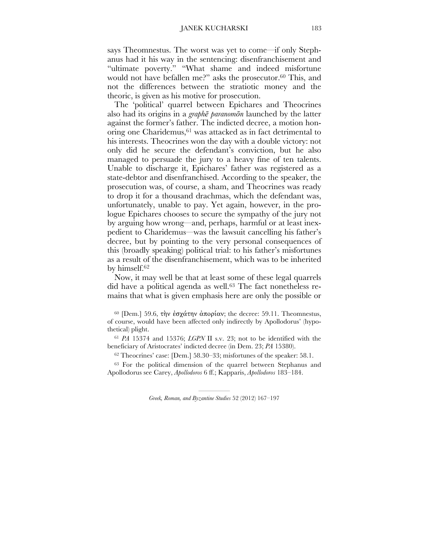says Theomnestus. The worst was yet to come—if only Stephanus had it his way in the sentencing: disenfranchisement and "ultimate poverty." "What shame and indeed misfortune would not have befallen me?" asks the prosecutor.<sup>60</sup> This, and not the differences between the stratiotic money and the theoric, is given as his motive for prosecution.

The 'political' quarrel between Epichares and Theocrines also had its origins in a *graphē paranomōn* launched by the latter against the former's father. The indicted decree, a motion honoring one Charidemus, <sup>61</sup> was attacked as in fact detrimental to his interests. Theocrines won the day with a double victory: not only did he secure the defendant's conviction, but he also managed to persuade the jury to a heavy fine of ten talents. Unable to discharge it, Epichares' father was registered as a state-debtor and disenfranchised. According to the speaker, the prosecution was, of course, a sham, and Theocrines was ready to drop it for a thousand drachmas, which the defendant was, unfortunately, unable to pay. Yet again, however, in the prologue Epichares chooses to secure the sympathy of the jury not by arguing how wrong—and, perhaps, harmful or at least inexpedient to Charidemus—was the lawsuit cancelling his father's decree, but by pointing to the very personal consequences of this (broadly speaking) political trial: to his father's misfortunes as a result of the disenfranchisement, which was to be inherited by himself.62

Now, it may well be that at least some of these legal quarrels did have a political agenda as well.<sup>63</sup> The fact nonetheless remains that what is given emphasis here are only the possible or

<sup>60</sup> [Dem.] 59.6, τὴν ἐσγάτην ἀπορίαν; the decree: 59.11. Theomnestus, of course, would have been affected only indirectly by Apollodorus' (hypothetical) plight.

<sup>61</sup> *PA* 15374 and 15376; *LGPN* II s.v. 23; not to be identified with the beneficiary of Aristocrates' indicted decree (in Dem. 23; *PA* 15380).

62 Theocrines' case: [Dem.] 58.30–33; misfortunes of the speaker: 58.1.

63 For the political dimension of the quarrel between Stephanus and Apollodorus see Carey, *Apollodoros* 6 ff.; Kapparis, *Apollodoros* 183–184.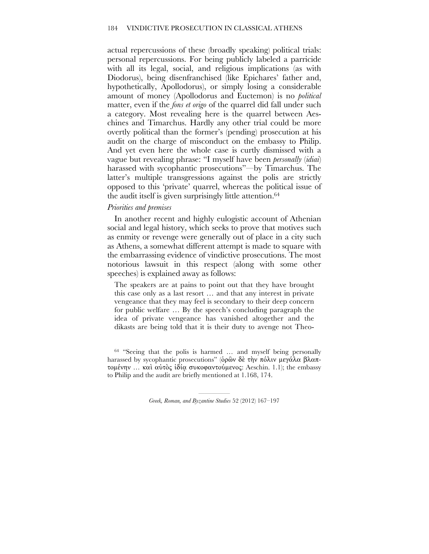actual repercussions of these (broadly speaking) political trials: personal repercussions. For being publicly labeled a parricide with all its legal, social, and religious implications (as with Diodorus), being disenfranchised (like Epichares' father and, hypothetically, Apollodorus), or simply losing a considerable amount of money (Apollodorus and Euctemon) is no *political* matter, even if the *fons et origo* of the quarrel did fall under such a category. Most revealing here is the quarrel between Aeschines and Timarchus. Hardly any other trial could be more overtly political than the former's (pending) prosecution at his audit on the charge of misconduct on the embassy to Philip. And yet even here the whole case is curtly dismissed with a vague but revealing phrase: "I myself have been *personally* (*idiai*) harassed with sycophantic prosecutions"—by Timarchus. The latter's multiple transgressions against the polis are strictly opposed to this 'private' quarrel, whereas the political issue of the audit itself is given surprisingly little attention.64

#### *Priorities and premises*

In another recent and highly eulogistic account of Athenian social and legal history, which seeks to prove that motives such as enmity or revenge were generally out of place in a city such as Athens, a somewhat different attempt is made to square with the embarrassing evidence of vindictive prosecutions. The most notorious lawsuit in this respect (along with some other speeches) is explained away as follows:

The speakers are at pains to point out that they have brought this case only as a last resort … and that any interest in private vengeance that they may feel is secondary to their deep concern for public welfare … By the speech's concluding paragraph the idea of private vengeance has vanished altogether and the dikasts are being told that it is their duty to avenge not Theo-

64 "Seeing that the polis is harmed … and myself being personally harassed by sycophantic prosecutions" (όρῶν δὲ τὴν πόλιν μεγάλα βλαπτοµένην … καὶ αὐτὸς ἰδίᾳ συκοφαντούµενος: Aeschin. 1.1); the embassy to Philip and the audit are briefly mentioned at 1.168, 174.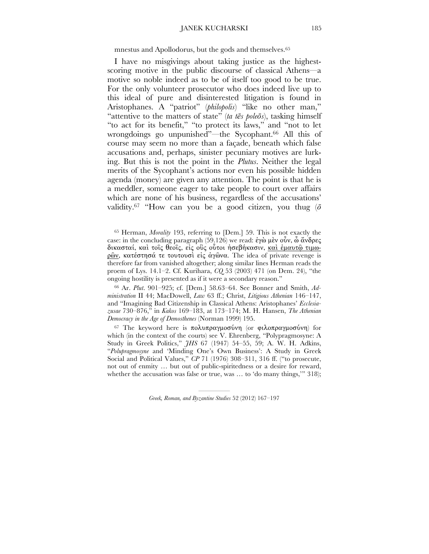mnestus and Apollodorus, but the gods and themselves.65

I have no misgivings about taking justice as the highestscoring motive in the public discourse of classical Athens—a motive so noble indeed as to be of itself too good to be true. For the only volunteer prosecutor who does indeed live up to this ideal of pure and disinterested litigation is found in Aristophanes. A "patriot" (*philopolis*) "like no other man," "attentive to the matters of state" (*ta tēs poleōs*), tasking himself "to act for its benefit," "to protect its laws," and "not to let wrongdoings go unpunished"—the Sycophant.66 All this of course may seem no more than a façade, beneath which false accusations and, perhaps, sinister pecuniary motives are lurking. But this is not the point in the *Plutus*. Neither the legal merits of the Sycophant's actions nor even his possible hidden agenda (money) are given any attention. The point is that he is a meddler, someone eager to take people to court over affairs which are none of his business, regardless of the accusations' validity.<sup>67</sup> "How can you be a good citizen, you thug  $(\bar{\sigma})$ 

65 Herman, *Morality* 193, referring to [Dem.] 59. This is not exactly the case: in the concluding paragraph (59.126) we read: ἐγὼ µὲν οὖν, ὦ ἄνδρες δικασταί, καὶ τοῖς θεοῖς, εἰς οὓς οὗτοι ἠσεβήκασιν, καὶ ἐµαυτῷ τιµωρῶν, κατέστησά τε τουτουσὶ εἰς ἀγῶνα. The idea of private revenge is therefore far from vanished altogether; along similar lines Herman reads the proem of Lys. 14.1–2. Cf. Kurihara, *CQ* 53 (2003) 471 (on Dem. 24), "the ongoing hostility is presented as if it were a secondary reason."

66 Ar. *Plut*. 901–925; cf. [Dem.] 58.63–64. See Bonner and Smith, *Administration* II 44; MacDowell, *Law* 63 ff.; Christ, *Litigious Athenian* 146–147, and "Imagining Bad Citizenship in Classical Athens: Aristophanes' *Ecclesiazusae* 730–876," in *Kakos* 169–183, at 173–174; M. H. Hansen, *The Athenian Democracy in the Age of Demosthenes* (Norman 1999) 195.

67 The keyword here is πολυπραγµοσύνη (or φιλοπραγµοσύνη) for which (in the context of the courts) see V. Ehrenberg, "Polypragmosyne: A Study in Greek Politics," *JHS* 67 (1947) 54–55, 59; A. W. H. Adkins, "*Polupragmosyne* and 'Minding One's Own Business': A Study in Greek Social and Political Values," *CP* 71 (1976) 308–311, 316 ff. ("to prosecute, not out of enmity … but out of public-spiritedness or a desire for reward, whether the accusation was false or true, was ... to 'do many things,'" 318);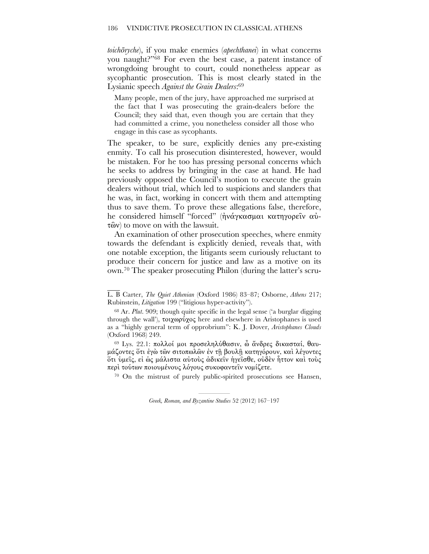*toichōryche*), if you make enemies (*apechthanei*) in what concerns you naught?"68 For even the best case, a patent instance of wrongdoing brought to court, could nonetheless appear as sycophantic prosecution. This is most clearly stated in the Lysianic speech *Against the Grain Dealers*: 69

Many people, men of the jury, have approached me surprised at the fact that I was prosecuting the grain-dealers before the Council; they said that, even though you are certain that they had committed a crime, you nonetheless consider all those who engage in this case as sycophants.

The speaker, to be sure, explicitly denies any pre-existing enmity. To call his prosecution disinterested, however, would be mistaken. For he too has pressing personal concerns which he seeks to address by bringing in the case at hand. He had previously opposed the Council's motion to execute the grain dealers without trial, which led to suspicions and slanders that he was, in fact, working in concert with them and attempting thus to save them. To prove these allegations false, therefore, he considered himself "forced" (ἠνάγκασµαι κατηγορεῖν αὐτῶν) to move on with the lawsuit.

An examination of other prosecution speeches, where enmity towards the defendant is explicitly denied, reveals that, with one notable exception, the litigants seem curiously reluctant to produce their concern for justice and law as a motive on its own.70 The speaker prosecuting Philon (during the latter's scru-

 $\mathcal{L}_\mathcal{L}$ 

<sup>69</sup> Lys. 22.1: πολλοί µοι προσεληλύθασιν, ὦ ἄνδρες δικασταί, θαυµάζοντες ὅτι ἐγὼ τῶν σιτοπωλῶν ἐν τῇ βουλῇ κατηγόρουν, καὶ λέγοντες ὅτι ὑµεῖς, εἰ ὡς µάλιστα αὐτοὺς ἀδικεῖν ἡγεῖσθε, οὐδὲν ἧττον καὶ τοὺς περὶ τούτων ποιουµένους λόγους συκοφαντεῖν νοµίζετε.

70 On the mistrust of purely public-spirited prosecutions see Hansen,

L. B Carter, *The Quiet Athenian* (Oxford 1986) 83–87; Osborne, *Athens* 217; Rubinstein, *Litigation* 199 ("litigious hyper-activity").

<sup>68</sup> Ar. *Plut*. 909; though quite specific in the legal sense ('a burglar digging through the wall'), τοιχωρύχος here and elsewhere in Aristophanes is used as a "highly general term of opprobrium": K. J. Dover, *Aristophanes Clouds* (Oxford 1968) 249.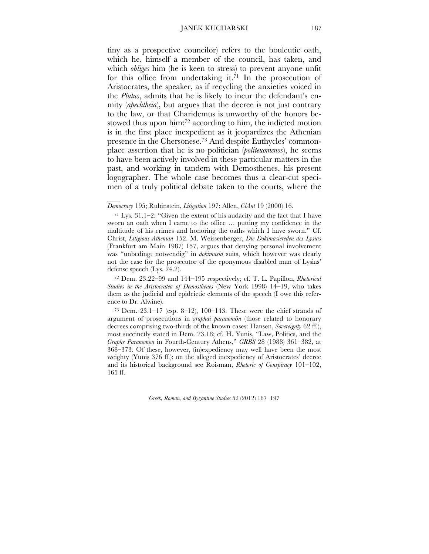tiny as a prospective councilor) refers to the bouleutic oath, which he, himself a member of the council, has taken, and which *obliges* him (he is keen to stress) to prevent anyone unfit for this office from undertaking it.<sup>71</sup> In the prosecution of Aristocrates, the speaker, as if recycling the anxieties voiced in the *Plutus*, admits that he is likely to incur the defendant's enmity (*apechtheia*), but argues that the decree is not just contrary to the law, or that Charidemus is unworthy of the honors bestowed thus upon him: <sup>72</sup> according to him, the indicted motion is in the first place inexpedient as it jeopardizes the Athenian presence in the Chersonese.73 And despite Euthycles' commonplace assertion that he is no politician (*politeuomenos*), he seems to have been actively involved in these particular matters in the past, and working in tandem with Demosthenes, his present logographer. The whole case becomes thus a clear-cut specimen of a truly political debate taken to the courts, where the

#### *Democracy* 195; Rubinstein, *Litigation* 197; Allen, *ClAnt* 19 (2000) 16.

 $\overline{\phantom{a}}$ 

72 Dem. 23.22–99 and 144–195 respectively; cf. T. L. Papillon, *Rhetorical Studies in the Aristocratea of Demosthenes* (New York 1998) 14–19, who takes them as the judicial and epideictic elements of the speech (I owe this reference to Dr. Alwine).

73 Dem. 23.1–17 (esp. 8–12), 100–143. These were the chief strands of argument of prosecutions in *graphai paranomōn* (those related to honorary decrees comprising two-thirds of the known cases: Hansen, *Sovereignty* 62 ff.), most succinctly stated in Dem. 23.18; cf. H. Yunis, "Law, Politics, and the *Graphe Paranomon* in Fourth-Century Athens," *GRBS* 28 (1988) 361–382, at 368–373. Of these, however, (in)expediency may well have been the most weighty (Yunis 376 ff.); on the alleged inexpediency of Aristocrates' decree and its historical background see Roisman, *Rhetoric of Conspiracy* 101–102, 165 ff.

<sup>&</sup>lt;sup>71</sup> Lys.  $31.1-2$ : "Given the extent of his audacity and the fact that I have sworn an oath when I came to the office … putting my confidence in the multitude of his crimes and honoring the oaths which I have sworn." Cf. Christ, *Litigious Athenian* 152. M. Weissenberger, *Die Dokimasiereden des Lysias* (Frankfurt am Main 1987) 157, argues that denying personal involvement was "unbedingt notwendig" in *dokimasia* suits, which however was clearly not the case for the prosecutor of the eponymous disabled man of Lysias' defense speech (Lys. 24.2).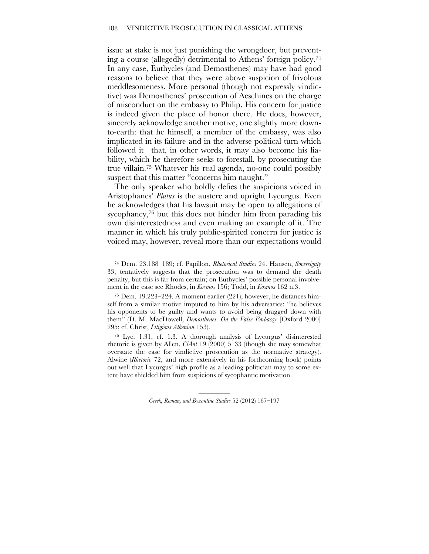issue at stake is not just punishing the wrongdoer, but preventing a course (allegedly) detrimental to Athens' foreign policy.74 In any case, Euthycles (and Demosthenes) may have had good reasons to believe that they were above suspicion of frivolous meddlesomeness. More personal (though not expressly vindictive) was Demosthenes' prosecution of Aeschines on the charge of misconduct on the embassy to Philip. His concern for justice is indeed given the place of honor there. He does, however, sincerely acknowledge another motive, one slightly more downto-earth: that he himself, a member of the embassy, was also implicated in its failure and in the adverse political turn which followed it—that, in other words, it may also become his liability, which he therefore seeks to forestall, by prosecuting the true villain.75 Whatever his real agenda, no-one could possibly suspect that this matter "concerns him naught."

The only speaker who boldly defies the suspicions voiced in Aristophanes' *Plutus* is the austere and upright Lycurgus. Even he acknowledges that his lawsuit may be open to allegations of sycophancy,<sup>76</sup> but this does not hinder him from parading his own disinterestedness and even making an example of it. The manner in which his truly public-spirited concern for justice is voiced may, however, reveal more than our expectations would

74 Dem. 23.188–189; cf. Papillon, *Rhetorical Studies* 24. Hansen, *Sovereignty* 33, tentatively suggests that the prosecution was to demand the death penalty, but this is far from certain; on Euthycles' possible personal involvement in the case see Rhodes, in *Kosmos* 156; Todd, in *Kosmos* 162 n.3.

75 Dem. 19.223–224. A moment earlier (221), however, he distances himself from a similar motive imputed to him by his adversaries: "he believes his opponents to be guilty and wants to avoid being dragged down with them" (D. M. MacDowell, *Demosthenes. On the False Embassy* [Oxford 2000] 295; cf. Christ, *Litigious Athenian* 153).

<sup>76</sup> Lyc. 1.31, cf. 1.3. A thorough analysis of Lycurgus' disinterested rhetoric is given by Allen, *ClAnt* 19 (2000) 5–33 (though she may somewhat overstate the case for vindictive prosecution as the normative strategy). Alwine (*Rhetoric* 72, and more extensively in his forthcoming book) points out well that Lycurgus' high profile as a leading politician may to some extent have shielded him from suspicions of sycophantic motivation.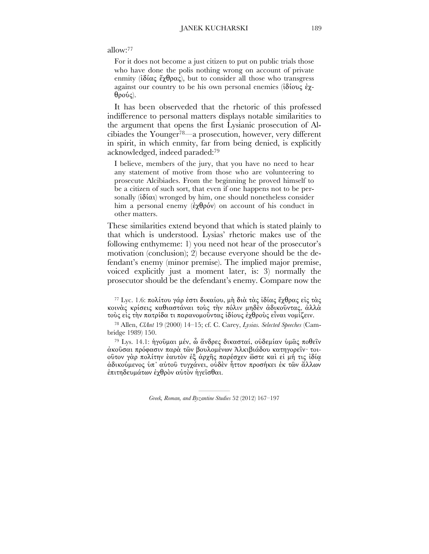#### allow:77

For it does not become a just citizen to put on public trials those who have done the polis nothing wrong on account of private enmity ( $i\delta(\alpha\zeta \xi)\theta(\alpha\zeta)$ , but to consider all those who transgress against our country to be his own personal enemies (ἰδίους ἐχθρούς).

It has been observeded that the rhetoric of this professed indifference to personal matters displays notable similarities to the argument that opens the first Lysianic prosecution of Alcibiades the Younger78—a prosecution, however, very different in spirit, in which enmity, far from being denied, is explicitly acknowledged, indeed paraded:79

I believe, members of the jury, that you have no need to hear any statement of motive from those who are volunteering to prosecute Alcibiades. From the beginning he proved himself to be a citizen of such sort, that even if one happens not to be personally  $(i\delta(\alpha))$  wronged by him, one should nonetheless consider him a personal enemy (ἐχθρόν) on account of his conduct in other matters.

These similarities extend beyond that which is stated plainly to that which is understood. Lysias' rhetoric makes use of the following enthymeme: 1) you need not hear of the prosecutor's motivation (conclusion); 2) because everyone should be the defendant's enemy (minor premise). The implied major premise, voiced explicitly just a moment later, is: 3) normally the prosecutor should be the defendant's enemy. Compare now the

<sup>77</sup> Lyc. 1.6: πολίτου γάρ ἐστι δικαίου, µὴ διὰ τὰς ἰδίας ἔχθρας εἰς τὰς κοινὰς κρίσεις καθιαστάναι τοὺς τὴν πόλιν µηδὲν ἀδικοῦντας, ἀλλὰ τοὺς εἰς τὴν πατρίδα τι παρανοµοῦντας ἰδίους ἐχθροὺς εἶναι νοµίζειν.

78 Allen, *ClAnt* 19 (2000) 14–15; cf. C. Carey, *Lysias. Selected Speeches* (Cambridge 1989) 150.

79 Lys. 14.1: ἡγοῦµαι µέν, ὦ ἄνδρες δικασταί, οὐδεµίαν ὑµᾶς ποθεῖν ἀκοῦσαι πρόφασιν παρὰ τῶν βουλοµένων Ἀλκιβιάδου κατηγορεῖν· τοιοῦτον γὰρ πολίτην ἑαυτὸν ἐξ ἀρχῆς παρέσχεν ὥστε καὶ εἰ µή τις ἰδίᾳ ἀδικούµενος ὑπ᾿ αὐτοῦ τυγχάνει, οὐδὲν ἧττον προσήκει ἐκ τῶν ἄλλων ἐπιτηδευµάτων ἐχθρὸν αὐτὸν ἡγεῖσθαι.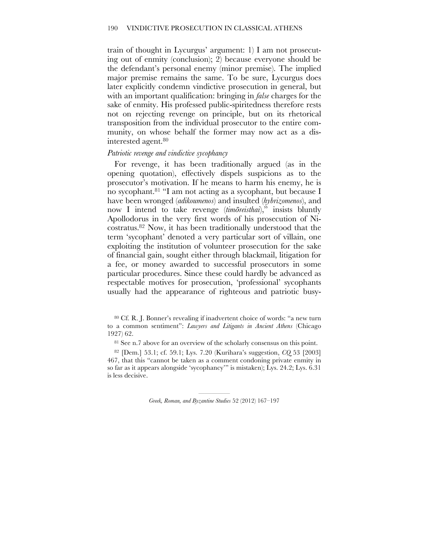train of thought in Lycurgus' argument: 1) I am not prosecuting out of enmity (conclusion); 2) because everyone should be the defendant's personal enemy (minor premise). The implied major premise remains the same. To be sure, Lycurgus does later explicitly condemn vindictive prosecution in general, but with an important qualification: bringing in *false* charges for the sake of enmity. His professed public-spiritedness therefore rests not on rejecting revenge on principle, but on its rhetorical transposition from the individual prosecutor to the entire community, on whose behalf the former may now act as a disinterested agent.80

#### *Patriotic revenge and vindictive sycophancy*

For revenge, it has been traditionally argued (as in the opening quotation), effectively dispels suspicions as to the prosecutor's motivation. If he means to harm his enemy, he is no sycophant.81 "I am not acting as a sycophant, but because I have been wronged (*adikoumenos*) and insulted (*hybrizomenos*), and now I intend to take revenge (*timōreisthai*)," insists bluntly Apollodorus in the very first words of his prosecution of Nicostratus.82 Now, it has been traditionally understood that the term 'sycophant' denoted a very particular sort of villain, one exploiting the institution of volunteer prosecution for the sake of financial gain, sought either through blackmail, litigation for a fee, or money awarded to successful prosecutors in some particular procedures. Since these could hardly be advanced as respectable motives for prosecution, 'professional' sycophants usually had the appearance of righteous and patriotic busy-

82 [Dem.] 53.1; cf. 59.1; Lys. 7.20 (Kurihara's suggestion, *CQ* 53 [2003] 467, that this "cannot be taken as a comment condoning private enmity in so far as it appears alongside 'sycophancy'" is mistaken); Lys. 24.2; Lys. 6.31 is less decisive.

<sup>80</sup> Cf. R. J. Bonner's revealing if inadvertent choice of words: "a new turn to a common sentiment": *Lawyers and Litigants in Ancient Athens* (Chicago 1927) 62.

<sup>&</sup>lt;sup>81</sup> See n.7 above for an overview of the scholarly consensus on this point.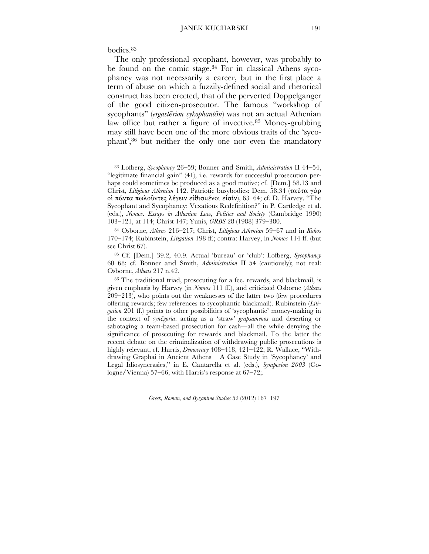bodies.83

The only professional sycophant, however, was probably to be found on the comic stage.<sup>84</sup> For in classical Athens sycophancy was not necessarily a career, but in the first place a term of abuse on which a fuzzily-defined social and rhetorical construct has been erected, that of the perverted Doppelganger of the good citizen-prosecutor. The famous "workshop of sycophants" (*ergastērion sykophantōn*) was not an actual Athenian law office but rather a figure of invective.<sup>85</sup> Money-grubbing may still have been one of the more obvious traits of the 'sycophant', 86 but neither the only one nor even the mandatory

83 Lofberg, *Sycophancy* 26–59; Bonner and Smith, *Administration* II 44–54, "legitimate financial gain" (41), i.e. rewards for successful prosecution perhaps could sometimes be produced as a good motive; cf. [Dem.] 58.13 and Christ, *Litigious Athenian* 142. Patriotic busybodies: Dem. 58.34 (ταῦτα γὰρ οἱ πάντα πωλοῦντες λέγειν εἰθισµένοι εἰσίν), 63–64; cf. D. Harvey, "The Sycophant and Sycophancy: Vexatious Redefinition?" in P. Cartledge et al. (eds.), *Nomos*. *Essays in Athenian Law, Politics and Society* (Cambridge 1990) 103–121, at 114; Christ 147; Yunis, *GRBS* 28 (1988) 379–380.

84 Osborne, *Athens* 216–217; Christ, *Litigious Athenian* 59–67 and in *Kakos* 170–174; Rubinstein, *Litigation* 198 ff.; contra: Harvey, in *Nomos* 114 ff. (but see Christ 67).

85 Cf. [Dem.] 39.2, 40.9. Actual 'bureau' or 'club': Lofberg, *Sycophancy* 60–68; cf. Bonner and Smith, *Administration* II 54 (cautiously); not real: Osborne, *Athens* 217 n.42.

86 The traditional triad, prosecuting for a fee, rewards, and blackmail, is given emphasis by Harvey (in *Nomos* 111 ff.), and criticized Osborne (*Athens* 209–213), who points out the weaknesses of the latter two (few procedures offering rewards; few references to sycophantic blackmail). Rubinstein (*Litigation* 201 ff.) points to other possibilities of 'sycophantic' money-making in the context of *synēgoria*: acting as a 'straw' *grapsamenos* and deserting or sabotaging a team-based prosecution for cash—all the while denying the significance of prosecuting for rewards and blackmail. To the latter the recent debate on the criminalization of withdrawing public prosecutions is highly relevant, cf. Harris, *Democracy* 408–418, 421–422; R. Wallace, "Withdrawing Graphai in Ancient Athens – A Case Study in 'Sycophancy' and Legal Idiosyncrasies," in E. Cantarella et al. (eds.), *Symposion 2003* (Cologne/Vienna) 57–66, with Harris's response at 67–72;.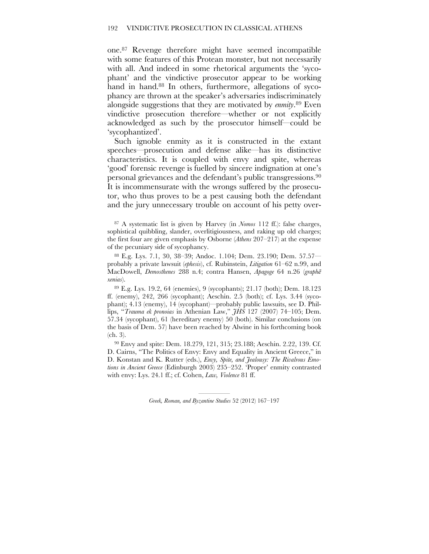one. 87 Revenge therefore might have seemed incompatible with some features of this Protean monster, but not necessarily with all. And indeed in some rhetorical arguments the 'sycophant' and the vindictive prosecutor appear to be working hand in hand.<sup>88</sup> In others, furthermore, allegations of sycophancy are thrown at the speaker's adversaries indiscriminately alongside suggestions that they are motivated by *enmity*. 89 Even vindictive prosecution therefore—whether or not explicitly acknowledged as such by the prosecutor himself—could be 'sycophantized'.

Such ignoble enmity as it is constructed in the extant speeches—prosecution and defense alike—has its distinctive characteristics. It is coupled with envy and spite, whereas 'good' forensic revenge is fuelled by sincere indignation at one's personal grievances and the defendant's public transgressions.90 It is incommensurate with the wrongs suffered by the prosecutor, who thus proves to be a pest causing both the defendant and the jury unnecessary trouble on account of his petty over-

88 E.g. Lys. 7.1, 30, 38–39; Andoc. 1.104; Dem. 23.190; Dem. 57.57 probably a private lawsuit (*ephesis*), cf. Rubinstein, *Litigation* 61–62 n.99, and MacDowell, *Demosthenes* 288 n.4; contra Hansen, *Apagoge* 64 n.26 (*graphē xenias*).

89 E.g. Lys. 19.2, 64 (enemies), 9 (sycophants); 21.17 (both); Dem. 18.123 ff. (enemy), 242, 266 (sycophant); Aeschin. 2.5 (both); cf. Lys. 3.44 (sycophant); 4.13 (enemy), 14 (sycophant)—probably public lawsuits, see D. Phillips, "*Trauma ek pronoias* in Athenian Law," *JHS* 127 (2007) 74–105; Dem. 57.34 (sycophant), 61 (hereditary enemy) 50 (both). Similar conclusions (on the basis of Dem. 57) have been reached by Alwine in his forthcoming book (ch. 3).

90 Envy and spite: Dem. 18.279, 121, 315; 23.188; Aeschin. 2.22, 139. Cf. D. Cairns, "The Politics of Envy: Envy and Equality in Ancient Greece," in D. Konstan and K. Rutter (eds.), *Envy, Spite, and Jealousy: The Rivalrous Emotions in Ancient Greece* (Edinburgh 2003) 235–252. 'Proper' enmity contrasted with envy: Lys. 24.1 ff.; cf. Cohen, *Law, Violence* 81 ff.

<sup>87</sup> A systematic list is given by Harvey (in *Nomos* 112 ff.): false charges, sophistical quibbling, slander, overlitigiousness, and raking up old charges; the first four are given emphasis by Osborne (*Athens* 207–217) at the expense of the pecuniary side of sycophancy.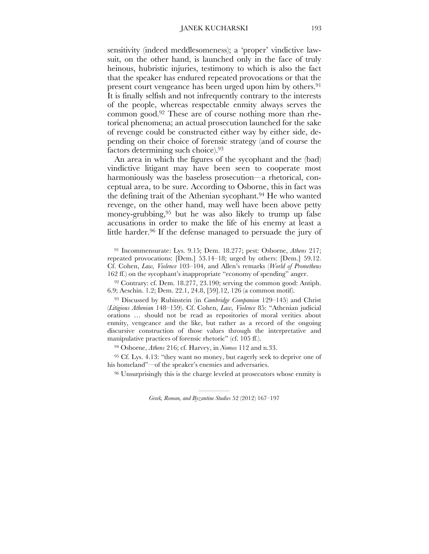#### JANEK KUCHARSKI 193

sensitivity (indeed meddlesomeness); a 'proper' vindictive lawsuit, on the other hand, is launched only in the face of truly heinous, hubristic injuries, testimony to which is also the fact that the speaker has endured repeated provocations or that the present court vengeance has been urged upon him by others.<sup>91</sup> It is finally selfish and not infrequently contrary to the interests of the people, whereas respectable enmity always serves the common good.92 These are of course nothing more than rhetorical phenomena; an actual prosecution launched for the sake of revenge could be constructed either way by either side, depending on their choice of forensic strategy (and of course the factors determining such choice).93

An area in which the figures of the sycophant and the (bad) vindictive litigant may have been seen to cooperate most harmoniously was the baseless prosecution—a rhetorical, conceptual area, to be sure. According to Osborne, this in fact was the defining trait of the Athenian sycophant.94 He who wanted revenge, on the other hand, may well have been above petty money-grubbing,95 but he was also likely to trump up false accusations in order to make the life of his enemy at least a little harder.<sup>96</sup> If the defense managed to persuade the jury of

91 Incommensurate: Lys. 9.15; Dem. 18.277; pest: Osborne, *Athens* 217; repeated provocations: [Dem.] 53.14–18; urged by others: [Dem.] 59.12. Cf. Cohen, *Law, Violence* 103–104, and Allen's remarks (*World of Prometheus* 162 ff.) on the sycophant's inappropriate "economy of spending" anger.

92 Contrary: cf. Dem. 18.277, 23.190; serving the common good: Antiph. 6.9; Aeschin. 1.2; Dem. 22.1, 24.8, [59].12, 126 (a common motif).

93 Discussed by Rubinstein (in *Cambridge Companion* 129–145) and Christ (*Litigious Athenian* 148–159). Cf. Cohen, *Law, Violence* 85: "Athenian judicial orations … should not be read as repositories of moral verities about enmity, vengeance and the like, but rather as a record of the ongoing discursive construction of those values through the interpretative and manipulative practices of forensic rhetoric" (cf. 105 ff.).

94 Osborne, *Athens* 216; cf. Harvey, in *Nomos* 112 and n.33.

<sup>95</sup> Cf. Lys. 4.13: "they want no money, but eagerly seek to deprive one of his homeland"—of the speaker's enemies and adversaries.

<sup>96</sup> Unsurprisingly this is the charge leveled at prosecutors whose enmity is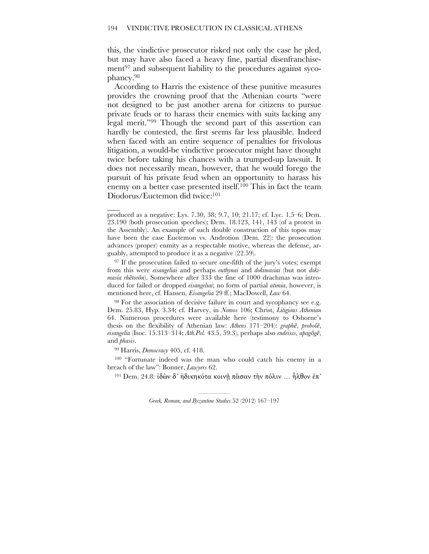this, the vindictive prosecutor risked not only the case he pled, but may have also faced a heavy fine, partial disenfranchisement<sup>97</sup> and subsequent liability to the procedures against sycophancy.98

According to Harris the existence of these punitive measures provides the crowning proof that the Athenian courts "were not designed to be just another arena for citizens to pursue private feuds or to harass their enemies with suits lacking any legal merit."99 Though the second part of this assertion can hardly be contested, the first seems far less plausible. Indeed when faced with an entire sequence of penalties for frivolous litigation, a would-be vindictive prosecutor might have thought twice before taking his chances with a trumped-up lawsuit. It does not necessarily mean, however, that he would forego the pursuit of his private feud when an opportunity to harass his enemy on a better case presented itself.<sup>100</sup> This in fact the team Diodorus/Euctemon did twice: 101

97 If the prosecution failed to secure one-fifth of the jury's votes; exempt from this were *eisangeliai* and perhaps *euthynai* and *dokimasiai* (but not *dokimasia rhētorōn*). Somewhere after 333 the fine of 1000 drachmas was introduced for failed or dropped *eisangeliai*; no form of partial *atimia*, however, is mentioned here, cf. Hansen, *Eisangelia* 29 ff.; MacDowell, *Law* 64.

<sup>98</sup> For the association of decisive failure in court and sycophancy see e.g. Dem. 25.83, Hyp. 3.34; cf. Harvey, in *Nomos* 106; Christ, *Litigious Athenian* 64. Numerous procedures were available here (testimony to Osborne's thesis on the flexibility of Athenian law: *Athens* 171–204): *graphē*, *probolē*, *eisangelia* (Isoc. 15.313–314; *Ath.Pol.* 43.5, 59.3), perhaps also *endeixis*, *apagōgē*, and *phasis*.

99 Harris, *Democracy* 405, cf. 418.

 $\overline{\phantom{a}}$ 

100 "Fortunate indeed was the man who could catch his enemy in a breach of the law": Bonner, *Lawyers* 62.

<sup>101</sup> Dem. 24.8: ίδὼν δ' ήδικηκότα κοινῆ πασαν τὴν πόλιν ... ἦλθον ἐπ'

produced as a negative: Lys. 7.30, 38; 9.7, 10; 21.17; cf. Lyc. 1.5–6; Dem. 23.190 (both prosecution speeches); Dem. 18.123, 141, 143 (of a protest in the Assembly). An example of such double construction of this topos may have been the case Euctemon vs. Androtion (Dem. 22): the prosecution advances (proper) enmity as a respectable motive, whereas the defense, arguably, attempted to produce it as a negative (22.59).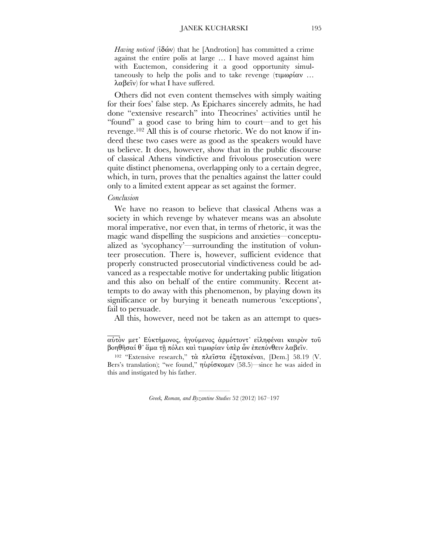*Having noticed* (ἰδών) that he [Androtion] has committed a crime against the entire polis at large … I have moved against him with Euctemon, considering it a good opportunity simultaneously to help the polis and to take revenge (τιµωρίαν … λαβεῖν) for what I have suffered.

Others did not even content themselves with simply waiting for their foes' false step. As Epichares sincerely admits, he had done "extensive research" into Theocrines' activities until he "found" a good case to bring him to court—and to get his revenge.102 All this is of course rhetoric. We do not know if indeed these two cases were as good as the speakers would have us believe. It does, however, show that in the public discourse of classical Athens vindictive and frivolous prosecution were quite distinct phenomena, overlapping only to a certain degree, which, in turn, proves that the penalties against the latter could only to a limited extent appear as set against the former.

#### *Conclusion*

 $\mathcal{L}_\mathcal{L}$ 

We have no reason to believe that classical Athens was a society in which revenge by whatever means was an absolute moral imperative, nor even that, in terms of rhetoric, it was the magic wand dispelling the suspicions and anxieties—conceptualized as 'sycophancy'—surrounding the institution of volunteer prosecution. There is, however, sufficient evidence that properly constructed prosecutorial vindictiveness could be advanced as a respectable motive for undertaking public litigation and this also on behalf of the entire community. Recent attempts to do away with this phenomenon, by playing down its significance or by burying it beneath numerous 'exceptions', fail to persuade.

All this, however, need not be taken as an attempt to ques-

αὐτὸν µετ᾿ Εὐκτήµονος, ἡγούµενος ἁρµόττοντ᾿ εἰληφέναι καιρὸν τοῦ βοηθῆσαί θ᾿ ἅµα τῇ πόλει καὶ τιµωρίαν ὑπὲρ ὧν ἐπεπόνθειν λαβεῖν.

<sup>102</sup> "Extensive research," τὰ πλεῖστα ἐξητακέναι, [Dem.] 58.19 (V. Bers's translation); "we found," ηὑρίσκομεν (58.5)—since he was aided in this and instigated by his father.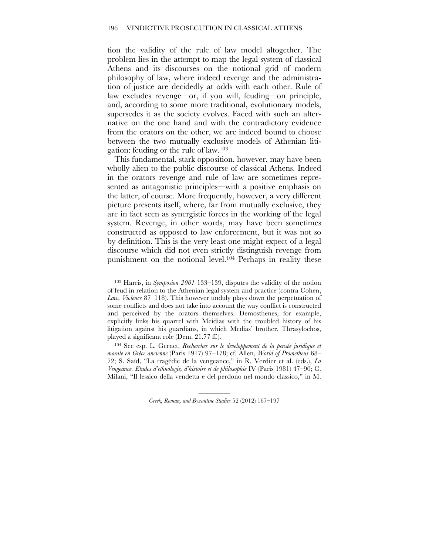tion the validity of the rule of law model altogether. The problem lies in the attempt to map the legal system of classical Athens and its discourses on the notional grid of modern philosophy of law, where indeed revenge and the administration of justice are decidedly at odds with each other. Rule of law excludes revenge—or, if you will, feuding—on principle, and, according to some more traditional, evolutionary models, supersedes it as the society evolves. Faced with such an alternative on the one hand and with the contradictory evidence from the orators on the other, we are indeed bound to choose between the two mutually exclusive models of Athenian litigation: feuding or the rule of law.103

This fundamental, stark opposition, however, may have been wholly alien to the public discourse of classical Athens. Indeed in the orators revenge and rule of law are sometimes represented as antagonistic principles—with a positive emphasis on the latter, of course. More frequently, however, a very different picture presents itself, where, far from mutually exclusive, they are in fact seen as synergistic forces in the working of the legal system. Revenge, in other words, may have been sometimes constructed as opposed to law enforcement, but it was not so by definition. This is the very least one might expect of a legal discourse which did not even strictly distinguish revenge from punishment on the notional level.104 Perhaps in reality these

103 Harris, in *Symposion 2001* 133–139, disputes the validity of the notion of feud in relation to the Athenian legal system and practice (contra Cohen, *Law, Violence* 87–118). This however unduly plays down the perpetuation of some conflicts and does not take into account the way conflict is constructed and perceived by the orators themselves. Demosthenes, for example, explicitly links his quarrel with Meidias with the troubled history of his litigation against his guardians, in which Medias' brother, Thrasylochos, played a significant role (Dem. 21.77 ff.).

104 See esp. L. Gernet, *Recherches sur le developpement de la pensée juridique et morale en Grèce ancienne* (Paris 1917) 97–178; cf. Allen, *World of Prometheus* 68– 72; S. Saïd, "La tragédie de la vengeance," in R. Verdier et al. (eds.), *La Vengeance. Etudes d'ethnologie, d'histoire et de philosophie* IV (Paris 1981) 47–90; C. Milani, "Il lessico della vendetta e del perdono nel mondo classico," in M.